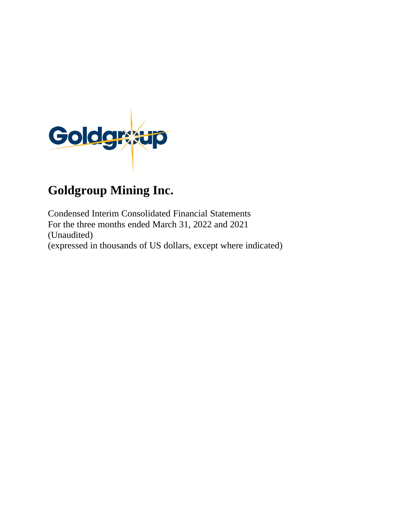

# **Goldgroup Mining Inc.**

Condensed Interim Consolidated Financial Statements For the three months ended March 31, 2022 and 2021 (Unaudited) (expressed in thousands of US dollars, except where indicated)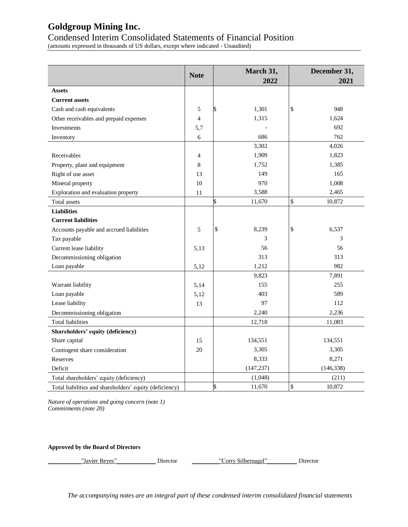# **Goldgroup Mining Inc.** Condensed Interim Consolidated Statements of Financial Position

(amounts expressed in thousands of US dollars, except where indicated - Unaudited)

|                                                         | <b>Note</b>    |     | March 31,  | December 31, |
|---------------------------------------------------------|----------------|-----|------------|--------------|
|                                                         |                |     | 2022       | 2021         |
| <b>Assets</b>                                           |                |     |            |              |
| <b>Current assets</b>                                   |                |     |            |              |
| Cash and cash equivalents                               | 5              | I\$ | 1,301      | \$<br>948    |
| Other receivables and prepaid expenses                  | $\overline{4}$ |     | 1,315      | 1,624        |
| Investments                                             | 5,7            |     |            | 692          |
| Inventory                                               | 6              |     | 686        | 762          |
|                                                         |                |     | 3,302      | 4,026        |
| Receivables                                             | $\overline{4}$ |     | 1,909      | 1,823        |
| Property, plant and equipment                           | 8              |     | 1,752      | 1,385        |
| Right of use asset                                      | 13             |     | 149        | 165          |
| Mineral property                                        | 10             |     | 970        | 1,008        |
| Exploration and evaluation property                     | 11             |     | 3,588      | 2,465        |
| Total assets                                            |                | \$  | 11,670     | \$<br>10,872 |
| <b>Liabilities</b>                                      |                |     |            |              |
| <b>Current liabilities</b>                              |                |     |            |              |
| Accounts payable and accrued liabilities                | 5              | \$  | 8,239      | \$<br>6,537  |
| Tax payable                                             |                |     | 3          | 3            |
| Current lease liability                                 | 5,13           |     | 56         | 56           |
| Decommissioning obligation                              |                |     | 313        | 313          |
| Loan payable                                            | 5,12           |     | 1,212      | 982          |
|                                                         |                |     | 9,823      | 7,891        |
| Warrant liability                                       | 5,14           |     | 155        | 255          |
| Loan payable                                            | 5,12           |     | 403        | 589          |
| Lease liability                                         | 13             |     | 97         | 112          |
| Decommissioning obligation                              |                |     | 2,240      | 2,236        |
| <b>Total liabilities</b>                                |                |     | 12,718     | 11,083       |
| Shareholders' equity (deficiency)                       |                |     |            |              |
| Share capital                                           | 15             |     | 134,551    | 134,551      |
| Contingent share consideration                          | 20             |     | 3,305      | 3,305        |
| Reserves                                                |                |     | 8,333      | 8,271        |
| Deficit                                                 |                |     | (147, 237) | (146, 338)   |
| Total shareholders' equity (deficiency)                 |                |     | (1,048)    | (211)        |
| Total liabilities and shareholders' equity (deficiency) |                | \$  | 11,670     | \$<br>10,872 |

*Nature of operations and going concern (note 1) Commitments (note 20)*

**Approved by the Board of Directors**

\_\_\_\_\_\_\_\_\_\_\_"Javier Reyes"\_\_\_\_\_\_\_\_\_\_\_\_\_ Director \_\_\_\_\_\_\_\_\_"Corry Silbernagel"\_\_\_\_\_\_\_\_\_\_ Director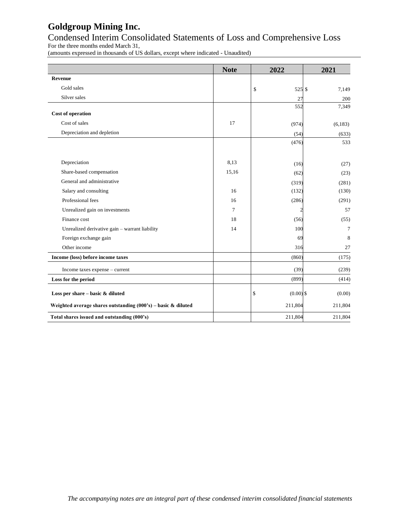# **Goldgroup Mining Inc.**

### Condensed Interim Consolidated Statements of Loss and Comprehensive Loss

For the three months ended March 31,

(amounts expressed in thousands of US dollars, except where indicated - Unaudited)

|                                                                 | <b>Note</b> | 2022              | 2021    |        |
|-----------------------------------------------------------------|-------------|-------------------|---------|--------|
| <b>Revenue</b>                                                  |             |                   |         |        |
| Gold sales                                                      |             | \$<br>525 \$      |         | 7,149  |
| Silver sales                                                    |             | 27                |         | 200    |
| <b>Cost of operation</b>                                        |             | 552               |         | 7.349  |
| Cost of sales                                                   | 17          | (974)             | (6,183) |        |
| Depreciation and depletion                                      |             | (54)              |         | (633)  |
|                                                                 |             | (476)             |         | 533    |
| Depreciation                                                    | 8,13        | (16)              |         | (27)   |
| Share-based compensation                                        | 15,16       | (62)              |         | (23)   |
| General and administrative                                      |             | (319)             |         | (281)  |
| Salary and consulting                                           | 16          | (132)             |         | (130)  |
| Professional fees                                               | 16          | (286)             |         | (291)  |
| Unrealized gain on investments                                  | $\tau$      | $\mathfrak{D}$    |         | 57     |
| Finance cost                                                    | 18          | (56)              |         | (55)   |
| Unrealized derivative gain - warrant liability                  | 14          | 100               |         | 7      |
| Foreign exchange gain                                           |             | 69                |         | 8      |
| Other income                                                    |             | 316               |         | 27     |
| Income (loss) before income taxes                               |             | (860)             |         | (175)  |
| Income taxes expense – current                                  |             | (39)              |         | (239)  |
| Loss for the period                                             |             | (899)             |         | (414)  |
| Loss per share - basic & diluted                                |             | \$<br>$(0.00)$ \$ |         | (0.00) |
| Weighted average shares outstanding $(000's)$ – basic & diluted |             | 211,804           | 211,804 |        |
| Total shares issued and outstanding (000's)                     |             | 211,804           | 211,804 |        |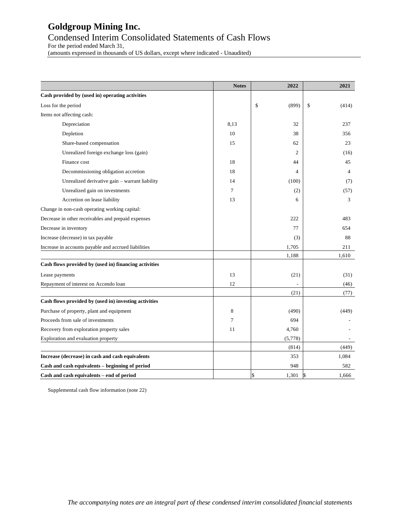### **Goldgroup Mining Inc.** Condensed Interim Consolidated Statements of Cash Flows For the period ended March 31,

(amounts expressed in thousands of US dollars, except where indicated - Unaudited)

|                                                       | <b>Notes</b>   | 2022        | 2021        |
|-------------------------------------------------------|----------------|-------------|-------------|
| Cash provided by (used in) operating activities       |                |             |             |
| Loss for the period                                   |                | \$<br>(899) | \$<br>(414) |
| Items not affecting cash:                             |                |             |             |
| Depreciation                                          | 8.13           | 32          | 237         |
| Depletion                                             | 10             | 38          | 356         |
| Share-based compensation                              | 15             | 62          | 23          |
| Unrealized foreign exchange loss (gain)               |                | 2           | (16)        |
| Finance cost                                          | 18             | 44          | 45          |
| Decommissioning obligation accretion                  | 18             | 4           | 4           |
| Unrealized derivative gain - warrant liability        | 14             | (100)       | (7)         |
| Unrealized gain on investments                        | $\tau$         | (2)         | (57)        |
| Accretion on lease liability                          | 13             | 6           | 3           |
| Change in non-cash operating working capital:         |                |             |             |
| Decrease in other receivables and prepaid expenses    |                | 222         | 483         |
| Decrease in inventory                                 |                | 77          | 654         |
| Increase (decrease) in tax payable                    |                | (3)         | 88          |
| Increase in accounts payable and accrued liabilities  |                | 1,705       | 211         |
|                                                       |                | 1,188       | 1,610       |
| Cash flows provided by (used in) financing activities |                |             |             |
| Lease payments                                        | 13             | (21)        | (31)        |
| Repayment of interest on Accendo loan                 | 12             |             | (46)        |
|                                                       |                | (21)        | (77)        |
| Cash flows provided by (used in) investing activities |                |             |             |
| Purchase of property, plant and equipment             | 8              | (490)       | (449)       |
| Proceeds from sale of investments                     | $\overline{7}$ | 694         |             |
| Recovery from exploration property sales              | 11             | 4,760       |             |
| Exploration and evaluation property                   |                | (5,778)     |             |
|                                                       |                | (814)       | (449)       |
| Increase (decrease) in cash and cash equivalents      |                | 353         | 1,084       |
| Cash and cash equivalents - beginning of period       |                | 948         | 582         |
| Cash and cash equivalents - end of period             |                | \$<br>1,301 | 1.666<br>S. |

Supplemental cash flow information (note 22)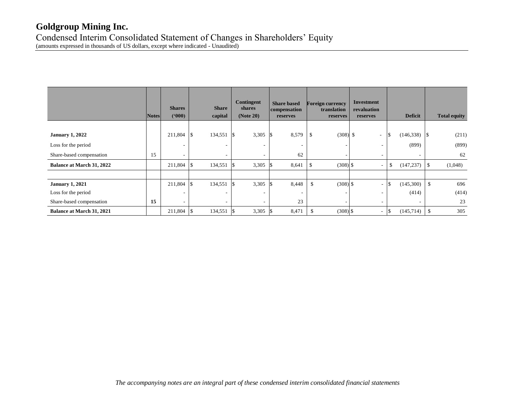# **Goldgroup Mining Inc.**

### Condensed Interim Consolidated Statement of Changes in Shareholders' Equity (amounts expressed in thousands of US dollars, except where indicated - Unaudited)

|                                  | <b>Notes</b> | <b>Shares</b><br>(000)   |                         | <b>Share</b><br>capital  | <b>Contingent</b><br>shares<br>(Note 20) |      | <b>Share based</b><br>compensation<br>reserves | <b>Foreign currency</b><br>translation<br>reserves | <b>Investment</b><br>revaluation<br>reserves |               | <b>Deficit</b>           |               | <b>Total equity</b> |
|----------------------------------|--------------|--------------------------|-------------------------|--------------------------|------------------------------------------|------|------------------------------------------------|----------------------------------------------------|----------------------------------------------|---------------|--------------------------|---------------|---------------------|
|                                  |              |                          |                         |                          |                                          |      |                                                |                                                    |                                              |               |                          |               |                     |
| <b>January 1, 2022</b>           |              | 211,804                  | $\overline{\mathbf{s}}$ | 134,551                  | 3,305                                    |      | 8,579                                          | \$<br>$(308)$ \$                                   | ۰                                            | S             | (146, 338)               | $\vert$ \$    | (211)               |
| Loss for the period              |              | ٠                        |                         |                          | $\overline{\phantom{a}}$                 |      |                                                |                                                    | ۰                                            |               | (899)                    |               | (899)               |
| Share-based compensation         | 15           | $\overline{\phantom{a}}$ |                         | $\overline{\phantom{a}}$ | $\overline{\phantom{a}}$                 |      | 62                                             |                                                    | $\overline{\phantom{a}}$                     |               | $\overline{\phantom{a}}$ |               | 62                  |
| <b>Balance at March 31, 2022</b> |              |                          |                         | 134,551                  | 3,305<br>ь                               |      | 8,641                                          | \$<br>$(308)$ \$                                   | $\overline{\phantom{a}}$                     | \$            | (147, 237)               | <sup>\$</sup> | (1,048)             |
|                                  |              |                          |                         |                          |                                          |      |                                                |                                                    |                                              |               |                          |               |                     |
| <b>January 1, 2021</b>           |              | 211,804                  | \$                      | 134,551                  | 3,305                                    | IS.  | 8,448                                          | \$<br>$(308)$ \$                                   | $\overline{\phantom{a}}$                     | $\mathcal{S}$ | (145,300)                | \$            | 696                 |
| Loss for the period              |              |                          |                         |                          | $\overline{\phantom{a}}$                 |      |                                                |                                                    | ۰                                            |               | (414)                    |               | (414)               |
| Share-based compensation         | 15           | ۰                        |                         | $\overline{\phantom{a}}$ | $\overline{\phantom{a}}$                 |      | 23                                             |                                                    | $\overline{\phantom{a}}$                     |               | $\overline{\phantom{a}}$ |               | 23                  |
| <b>Balance at March 31, 2021</b> |              | 211,804                  | -1\$                    | 134,551                  | 3,305                                    | -1\$ | 8,471                                          | \$<br>$(308)$ \$                                   | $\sim$                                       | $\mathcal{S}$ | (145, 714)               | -S            | 305                 |

-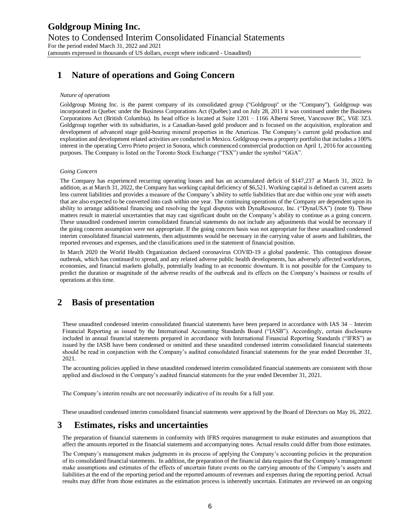# **1 Nature of operations and Going Concern**

#### *Nature of operations*

Goldgroup Mining Inc. is the parent company of its consolidated group ("Goldgroup'' or the "Company''). Goldgroup was incorporated in Quebec under the Business Corporations Act (Québec) and on July 28, 2011 it was continued under the Business Corporations Act (British Columbia). Its head office is located at Suite 1201 – 1166 Alberni Street, Vancouver BC, V6E 3Z3. Goldgroup together with its subsidiaries, is a Canadian-based gold producer and is focused on the acquisition, exploration and development of advanced stage gold-bearing mineral properties in the Americas. The Company's current gold production and exploration and development related activities are conducted in Mexico. Goldgroup owns a property portfolio that includes a 100% interest in the operating Cerro Prieto project in Sonora, which commenced commercial production on April 1, 2016 for accounting purposes. The Company is listed on the Toronto Stock Exchange ("TSX") under the symbol "GGA".

#### *Going Concern*

The Company has experienced recurring operating losses and has an accumulated deficit of \$147,237 at March 31, 2022. In addition, as at March 31, 2022, the Company has working capital deficiency of \$6,521. Working capital is defined as current assets less current liabilities and provides a measure of the Company's ability to settle liabilities that are due within one year with assets that are also expected to be converted into cash within one year. The continuing operations of the Company are dependent upon its ability to arrange additional financing and resolving the legal disputes with DynaResource, Inc. ("DynaUSA") (note 9). These matters result in material uncertainties that may cast significant doubt on the Company's ability to continue as a going concern. These unaudited condensed interim consolidated financial statements do not include any adjustments that would be necessary if the going concern assumption were not appropriate. If the going concern basis was not appropriate for these unaudited condensed interim consolidated financial statements, then adjustments would be necessary in the carrying value of assets and liabilities, the reported revenues and expenses, and the classifications used in the statement of financial position.

In March 2020 the World Health Organization declared coronavirus COVID-19 a global pandemic. This contagious disease outbreak, which has continued to spread, and any related adverse public health developments, has adversely affected workforces, economies, and financial markets globally, potentially leading to an economic downturn. It is not possible for the Company to predict the duration or magnitude of the adverse results of the outbreak and its effects on the Company's business or results of operations at this time.

### **2 Basis of presentation**

These unaudited condensed interim consolidated financial statements have been prepared in accordance with IAS 34 – Interim Financial Reporting as issued by the International Accounting Standards Board ("IASB"). Accordingly, certain disclosures included in annual financial statements prepared in accordance with International Financial Reporting Standards ("IFRS") as issued by the IASB have been condensed or omitted and these unaudited condensed interim consolidated financial statements should be read in conjunction with the Company's audited consolidated financial statements for the year ended December 31, 2021.

The accounting policies applied in these unaudited condensed interim consolidated financial statements are consistent with those applied and disclosed in the Company's audited financial statements for the year ended December 31, 2021.

The Company's interim results are not necessarily indicative of its results for a full year.

These unaudited condensed interim consolidated financial statements were approved by the Board of Directors on May 16, 2022.

### **3 Estimates, risks and uncertainties**

The preparation of financial statements in conformity with IFRS requires management to make estimates and assumptions that affect the amounts reported in the financial statements and accompanying notes. Actual results could differ from those estimates.

The Company's management makes judgments in its process of applying the Company's accounting policies in the preparation of its consolidated financial statements. In addition, the preparation of the financial data requires that the Company's management make assumptions and estimates of the effects of uncertain future events on the carrying amounts of the Company's assets and liabilities at the end of the reporting period and the reported amounts of revenues and expenses during the reporting period. Actual results may differ from those estimates as the estimation process is inherently uncertain. Estimates are reviewed on an ongoing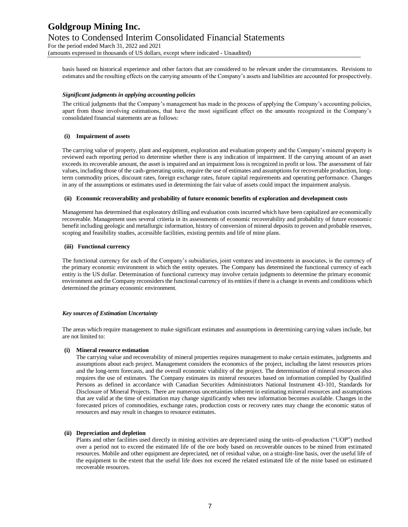For the period ended March 31, 2022 and 2021 (amounts expressed in thousands of US dollars, except where indicated - Unaudited)

basis based on historical experience and other factors that are considered to be relevant under the circumstances. Revisions to estimates and the resulting effects on the carrying amounts of the Company's assets and liabilities are accounted for prospectively.

#### *Significant judgments in applying accounting policies*

The critical judgments that the Company's management has made in the process of applying the Company's accounting policies, apart from those involving estimations, that have the most significant effect on the amounts recognized in the Company's consolidated financial statements are as follows:

#### **(i) Impairment of assets**

The carrying value of property, plant and equipment, exploration and evaluation property and the Company's mineral property is reviewed each reporting period to determine whether there is any indication of impairment. If the carrying amount of an asset exceeds its recoverable amount, the asset is impaired and an impairment loss is recognized in profit or loss. The assessment of fair values, including those of the cash-generating units, require the use of estimates and assumptions for recoverable production, longterm commodity prices, discount rates, foreign exchange rates, future capital requirements and operating performance. Changes in any of the assumptions or estimates used in determining the fair value of assets could impact the impairment analysis.

#### **(ii) Economic recoverability and probability of future economic benefits of exploration and development costs**

Management has determined that exploratory drilling and evaluation costs incurred which have been capitalized are economically recoverable. Management uses several criteria in its assessments of economic recoverability and probability of future economic benefit including geologic and metallurgic information, history of conversion of mineral deposits to proven and probable reserves, scoping and feasibility studies, accessible facilities, existing permits and life of mine plans.

#### **(iii) Functional currency**

The functional currency for each of the Company's subsidiaries, joint ventures and investments in associates, is the currency of the primary economic environment in which the entity operates. The Company has determined the functional currency of each entity is the US dollar. Determination of functional currency may involve certain judgments to determine the primary economic environment and the Company reconsiders the functional currency of its entities if there is a change in events and conditions which determined the primary economic environment.

#### *Key sources of Estimation Uncertainty*

The areas which require management to make significant estimates and assumptions in determining carrying values include, but are not limited to:

#### **(i) Mineral resource estimation**

The carrying value and recoverability of mineral properties requires management to make certain estimates, judgments and assumptions about each project. Management considers the economics of the project, including the latest resources prices and the long-term forecasts, and the overall economic viability of the project. The determination of mineral resources also requires the use of estimates. The Company estimates its mineral resources based on information compiled by Qualified Persons as defined in accordance with Canadian Securities Administrators National Instrument 43-101, Standards for Disclosure of Mineral Projects. There are numerous uncertainties inherent in estimating mineral resources and assumptions that are valid at the time of estimation may change significantly when new information becomes available. Changes in the forecasted prices of commodities, exchange rates, production costs or recovery rates may change the economic status of resources and may result in changes to resource estimates.

#### **(ii) Depreciation and depletion**

Plants and other facilities used directly in mining activities are depreciated using the units-of-production ("UOP") method over a period not to exceed the estimated life of the ore body based on recoverable ounces to be mined from estimated resources. Mobile and other equipment are depreciated, net of residual value, on a straight-line basis, over the useful life of the equipment to the extent that the useful life does not exceed the related estimated life of the mine based on estimated recoverable resources.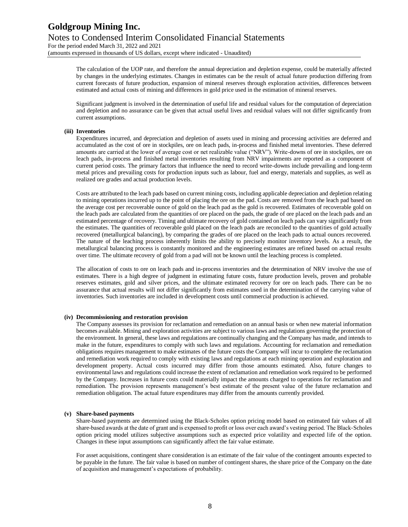For the period ended March 31, 2022 and 2021 (amounts expressed in thousands of US dollars, except where indicated - Unaudited)

> The calculation of the UOP rate, and therefore the annual depreciation and depletion expense, could be materially affected by changes in the underlying estimates. Changes in estimates can be the result of actual future production differing from current forecasts of future production, expansion of mineral reserves through exploration activities, differences between estimated and actual costs of mining and differences in gold price used in the estimation of mineral reserves.

> Significant judgment is involved in the determination of useful life and residual values for the computation of depreciation and depletion and no assurance can be given that actual useful lives and residual values will not differ significantly from current assumptions.

#### **(iii) Inventories**

Expenditures incurred, and depreciation and depletion of assets used in mining and processing activities are deferred and accumulated as the cost of ore in stockpiles, ore on leach pads, in-process and finished metal inventories. These deferred amounts are carried at the lower of average cost or net realizable value ("NRV"). Write-downs of ore in stockpiles, ore on leach pads, in-process and finished metal inventories resulting from NRV impairments are reported as a component of current period costs. The primary factors that influence the need to record write-downs include prevailing and long-term metal prices and prevailing costs for production inputs such as labour, fuel and energy, materials and supplies, as well as realized ore grades and actual production levels.

Costs are attributed to the leach pads based on current mining costs, including applicable depreciation and depletion relating to mining operations incurred up to the point of placing the ore on the pad. Costs are removed from the leach pad based on the average cost per recoverable ounce of gold on the leach pad as the gold is recovered. Estimates of recoverable gold on the leach pads are calculated from the quantities of ore placed on the pads, the grade of ore placed on the leach pads and an estimated percentage of recovery. Timing and ultimate recovery of gold contained on leach pads can vary significantly from the estimates. The quantities of recoverable gold placed on the leach pads are reconciled to the quantities of gold actually recovered (metallurgical balancing), by comparing the grades of ore placed on the leach pads to actual ounces recovered. The nature of the leaching process inherently limits the ability to precisely monitor inventory levels. As a result, the metallurgical balancing process is constantly monitored and the engineering estimates are refined based on actual results over time. The ultimate recovery of gold from a pad will not be known until the leaching process is completed.

The allocation of costs to ore on leach pads and in-process inventories and the determination of NRV involve the use of estimates. There is a high degree of judgment in estimating future costs, future production levels, proven and probable reserves estimates, gold and silver prices, and the ultimate estimated recovery for ore on leach pads. There can be no assurance that actual results will not differ significantly from estimates used in the determination of the carrying value of inventories. Such inventories are included in development costs until commercial production is achieved.

#### **(iv) Decommissioning and restoration provision**

The Company assesses its provision for reclamation and remediation on an annual basis or when new material information becomes available. Mining and exploration activities are subject to various laws and regulations governing the protection of the environment. In general, these laws and regulations are continually changing and the Company has made, and intends to make in the future, expenditures to comply with such laws and regulations. Accounting for reclamation and remediation obligations requires management to make estimates of the future costs the Company will incur to complete the reclamation and remediation work required to comply with existing laws and regulations at each mining operation and exploration and development property. Actual costs incurred may differ from those amounts estimated. Also, future changes to environmental laws and regulations could increase the extent of reclamation and remediation work required to be performed by the Company. Increases in future costs could materially impact the amounts charged to operations for reclamation and remediation. The provision represents management's best estimate of the present value of the future reclamation and remediation obligation. The actual future expenditures may differ from the amounts currently provided.

#### **(v) Share-based payments**

Share-based payments are determined using the Black‐Scholes option pricing model based on estimated fair values of all share‐based awards at the date of grant and is expensed to profit or loss over each award's vesting period. The Black‐Scholes option pricing model utilizes subjective assumptions such as expected price volatility and expected life of the option. Changes in these input assumptions can significantly affect the fair value estimate.

For asset acquisitions, contingent share consideration is an estimate of the fair value of the contingent amounts expected to be payable in the future. The fair value is based on number of contingent shares, the share price of the Company on the date of acquisition and management's expectations of probability.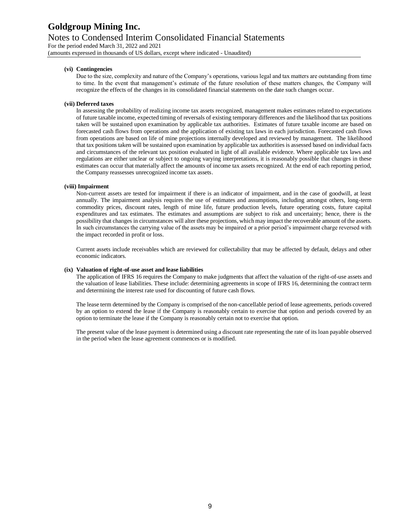For the period ended March 31, 2022 and 2021

(amounts expressed in thousands of US dollars, except where indicated - Unaudited)

#### **(vi) Contingencies**

Due to the size, complexity and nature of the Company's operations, various legal and tax matters are outstanding from time to time. In the event that management's estimate of the future resolution of these matters changes, the Company will recognize the effects of the changes in its consolidated financial statements on the date such changes occur.

#### **(vii) Deferred taxes**

In assessing the probability of realizing income tax assets recognized, management makes estimates related to expectations of future taxable income, expected timing of reversals of existing temporary differences and the likelihood that tax positions taken will be sustained upon examination by applicable tax authorities. Estimates of future taxable income are based on forecasted cash flows from operations and the application of existing tax laws in each jurisdiction. Forecasted cash flows from operations are based on life of mine projections internally developed and reviewed by management. The likelihood that tax positions taken will be sustained upon examination by applicable tax authorities is assessed based on individual facts and circumstances of the relevant tax position evaluated in light of all available evidence. Where applicable tax laws and regulations are either unclear or subject to ongoing varying interpretations, it is reasonably possible that changes in these estimates can occur that materially affect the amounts of income tax assets recognized. At the end of each reporting period, the Company reassesses unrecognized income tax assets.

#### **(viii) Impairment**

Non-current assets are tested for impairment if there is an indicator of impairment, and in the case of goodwill, at least annually. The impairment analysis requires the use of estimates and assumptions, including amongst others, long-term commodity prices, discount rates, length of mine life, future production levels, future operating costs, future capital expenditures and tax estimates. The estimates and assumptions are subject to risk and uncertainty; hence, there is the possibility that changes in circumstances will alter these projections, which may impact the recoverable amount of the assets. In such circumstances the carrying value of the assets may be impaired or a prior period's impairment charge reversed with the impact recorded in profit or loss.

Current assets include receivables which are reviewed for collectability that may be affected by default, delays and other economic indicators.

#### **(ix) Valuation of right-of-use asset and lease liabilities**

The application of IFRS 16 requires the Company to make judgments that affect the valuation of the right-of-use assets and the valuation of lease liabilities. These include: determining agreements in scope of IFRS 16, determining the contract term and determining the interest rate used for discounting of future cash flows.

The lease term determined by the Company is comprised of the non-cancellable period of lease agreements, periods covered by an option to extend the lease if the Company is reasonably certain to exercise that option and periods covered by an option to terminate the lease if the Company is reasonably certain not to exercise that option.

The present value of the lease payment is determined using a discount rate representing the rate of its loan payable observed in the period when the lease agreement commences or is modified.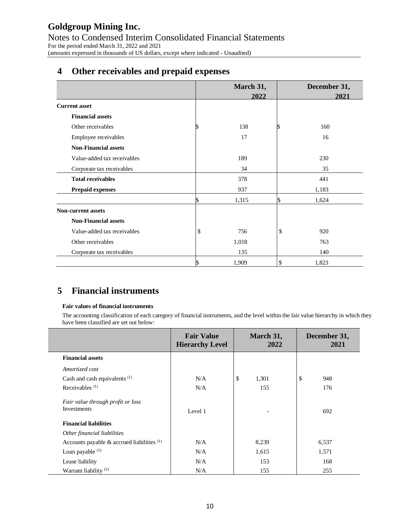#### (amounts expressed in thousands of US dollars, except where indicated - Unaudited)

# **4 Other receivables and prepaid expenses**

|                             |    | March 31,<br>2022 |    | December 31,<br>2021 |  |
|-----------------------------|----|-------------------|----|----------------------|--|
| <b>Current asset</b>        |    |                   |    |                      |  |
| <b>Financial assets</b>     |    |                   |    |                      |  |
| Other receivables           | S. | 138               |    | 160                  |  |
| Employee receivables        |    | 17                |    | 16                   |  |
| <b>Non-Financial assets</b> |    |                   |    |                      |  |
| Value-added tax receivables |    | 189               |    | 230                  |  |
| Corporate tax receivables   |    | 34                |    |                      |  |
| <b>Total receivables</b>    |    | 378               |    | 441                  |  |
| <b>Prepaid expenses</b>     |    | 937               |    | 1,183                |  |
|                             | \$ | 1,315             |    | 1,624                |  |
| <b>Non-current assets</b>   |    |                   |    |                      |  |
| <b>Non-Financial assets</b> |    |                   |    |                      |  |
| Value-added tax receivables | \$ | 756               | \$ | 920                  |  |
| Other receivables           |    | 1,018             |    | 763                  |  |
| Corporate tax receivables   |    | 135               |    | 140                  |  |
|                             | \$ | 1,909             | \$ | 1,823                |  |

# **5 Financial instruments**

#### **Fair values of financial instruments**

ш.

The accounting classification of each category of financial instruments, and the level within the fair value hierarchy in which they have been classified are set out below:

|                                                  | <b>Fair Value</b><br><b>Hierarchy Level</b> | March 31,<br>2022 | December 31,<br>2021 |
|--------------------------------------------------|---------------------------------------------|-------------------|----------------------|
| <b>Financial assets</b>                          |                                             |                   |                      |
| Amortized cost                                   |                                             |                   |                      |
| Cash and cash equivalents <sup>(1)</sup>         | N/A                                         | \$<br>1,301       | \$<br>948            |
| Receivables $(1)$                                | N/A                                         | 155               | 176                  |
| Fair value through profit or loss<br>Investments | Level 1                                     |                   | 692                  |
| <b>Financial liabilities</b>                     |                                             |                   |                      |
| Other financial liabilities                      |                                             |                   |                      |
| Accounts payable $\&$ accrued liabilities $(1)$  | N/A                                         | 8,239             | 6,537                |
| Loan payable (3)                                 | N/A                                         | 1,615             | 1,571                |
| Lease liability                                  | N/A                                         | 153               | 168                  |
| Warrant liability $(2)$                          | N/A                                         | 155               | 255                  |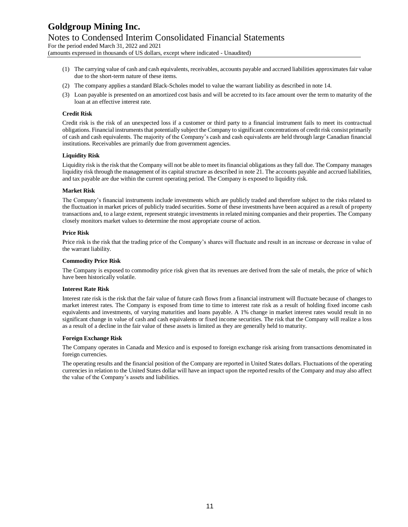For the period ended March 31, 2022 and 2021

(amounts expressed in thousands of US dollars, except where indicated - Unaudited)

- (1) The carrying value of cash and cash equivalents, receivables, accounts payable and accrued liabilities approximates fair value due to the short-term nature of these items.
- (2) The company applies a standard Black-Scholes model to value the warrant liability as described in note 14.
- (3) Loan payable is presented on an amortized cost basis and will be accreted to its face amount over the term to maturity of the loan at an effective interest rate.

#### **Credit Risk**

Credit risk is the risk of an unexpected loss if a customer or third party to a financial instrument fails to meet its contractual obligations. Financial instruments that potentially subject the Company to significant concentrations of credit risk consist primarily of cash and cash equivalents. The majority of the Company's cash and cash equivalents are held through large Canadian financial institutions. Receivables are primarily due from government agencies.

#### **Liquidity Risk**

Liquidity risk is the risk that the Company will not be able to meet its financial obligations as they fall due. The Company manages liquidity risk through the management of its capital structure as described in note 21. The accounts payable and accrued liabilities, and tax payable are due within the current operating period. The Company is exposed to liquidity risk.

#### **Market Risk**

The Company's financial instruments include investments which are publicly traded and therefore subject to the risks related to the fluctuation in market prices of publicly traded securities. Some of these investments have been acquired as a result of property transactions and, to a large extent, represent strategic investments in related mining companies and their properties. The Company closely monitors market values to determine the most appropriate course of action.

#### **Price Risk**

Price risk is the risk that the trading price of the Company's shares will fluctuate and result in an increase or decrease in value of the warrant liability.

#### **Commodity Price Risk**

The Company is exposed to commodity price risk given that its revenues are derived from the sale of metals, the price of which have been historically volatile.

#### **Interest Rate Risk**

Interest rate risk is the risk that the fair value of future cash flows from a financial instrument will fluctuate because of changes to market interest rates. The Company is exposed from time to time to interest rate risk as a result of holding fixed income cash equivalents and investments, of varying maturities and loans payable. A 1% change in market interest rates would result in no significant change in value of cash and cash equivalents or fixed income securities. The risk that the Company will realize a loss as a result of a decline in the fair value of these assets is limited as they are generally held to maturity.

#### **Foreign Exchange Risk**

The Company operates in Canada and Mexico and is exposed to foreign exchange risk arising from transactions denominated in foreign currencies.

The operating results and the financial position of the Company are reported in United States dollars. Fluctuations of the operating currencies in relation to the United States dollar will have an impact upon the reported results of the Company and may also affect the value of the Company's assets and liabilities.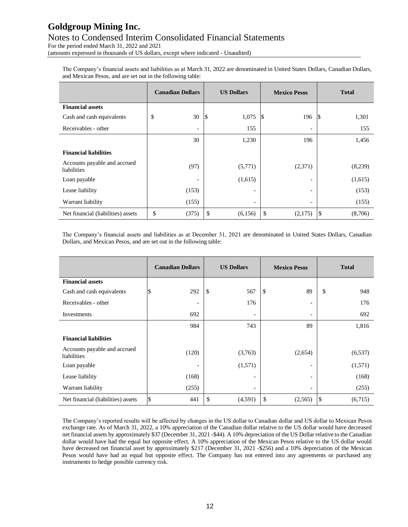For the period ended March 31, 2022 and 2021

(amounts expressed in thousands of US dollars, except where indicated - Unaudited)

The Company's financial assets and liabilities as at March 31, 2022 are denominated in United States Dollars, Canadian Dollars, and Mexican Pesos, and are set out in the following table:

|                                             | <b>Canadian Dollars</b>  | <b>US Dollars</b>        | <b>Mexico Pesos</b> | <b>Total</b>            |
|---------------------------------------------|--------------------------|--------------------------|---------------------|-------------------------|
| <b>Financial assets</b>                     |                          |                          |                     |                         |
| Cash and cash equivalents                   | \$<br>30                 | 1,075<br><sup>\$</sup>   | 196                 | 1,301                   |
| Receivables - other                         | $\overline{\phantom{a}}$ | 155                      |                     | 155                     |
|                                             | 30                       | 1,230                    | 196                 | 1,456                   |
| <b>Financial liabilities</b>                |                          |                          |                     |                         |
| Accounts payable and accrued<br>liabilities | (97)                     | (5,771)                  | (2,371)             | (8,239)                 |
| Loan payable                                | $\overline{\phantom{a}}$ | (1,615)                  |                     | (1,615)                 |
| Lease liability                             | (153)                    | $\overline{\phantom{a}}$ |                     | (153)                   |
| Warrant liability                           | (155)                    | $\overline{\phantom{a}}$ |                     | (155)                   |
| Net financial (liabilities) assets          | \$<br>(375)              | \$<br>(6,156)            | \$<br>(2,175)       | (8,706)<br>$\mathbb{S}$ |

The Company's financial assets and liabilities as at December 31, 2021 are denominated in United States Dollars, Canadian Dollars, and Mexican Pesos, and are set out in the following table:

|                                             | <b>Canadian Dollars</b> | <b>US Dollars</b>        | <b>Mexico Pesos</b>          | <b>Total</b>             |
|---------------------------------------------|-------------------------|--------------------------|------------------------------|--------------------------|
| <b>Financial assets</b>                     |                         |                          |                              |                          |
| Cash and cash equivalents                   | 292                     | \$<br>567                | 89<br>\$                     | \$<br>948                |
| Receivables - other                         | $\overline{a}$          | 176                      | $\overline{\phantom{0}}$     | 176                      |
| Investments                                 | 692                     | $\overline{\phantom{a}}$ | $\overline{\phantom{a}}$     | 692                      |
|                                             | 984                     | 743                      | 89                           | 1,816                    |
| <b>Financial liabilities</b>                |                         |                          |                              |                          |
| Accounts payable and accrued<br>liabilities | (120)                   | (3,763)                  | (2,654)                      | (6, 537)                 |
| Loan payable                                |                         | (1,571)                  |                              | (1,571)                  |
| Lease liability                             | (168)                   | $\overline{a}$           | $\qquad \qquad \blacksquare$ | (168)                    |
| Warrant liability                           | (255)                   | $\overline{\phantom{a}}$ | $\overline{\phantom{0}}$     | (255)                    |
| Net financial (liabilities) assets          | 441<br>ß.               | \$<br>(4,591)            | \$<br>(2,565)                | $\frac{1}{2}$<br>(6,715) |

The Company's reported results will be affected by changes in the US dollar to Canadian dollar and US dollar to Mexican Pesos exchange rate. As of March 31, 2022, a 10% appreciation of the Canadian dollar relative to the US dollar would have decreased net financial assets by approximately \$37 (December 31, 2021 -\$44). A 10% depreciation of the US Dollar relative to the Canadian dollar would have had the equal but opposite effect. A 10% appreciation of the Mexican Pesos relative to the US dollar would have decreased net financial asset by approximately \$217 (December 31, 2021 -\$256) and a 10% depreciation of the Mexican Pesos would have had an equal but opposite effect. The Company has not entered into any agreements or purchased any instruments to hedge possible currency risk.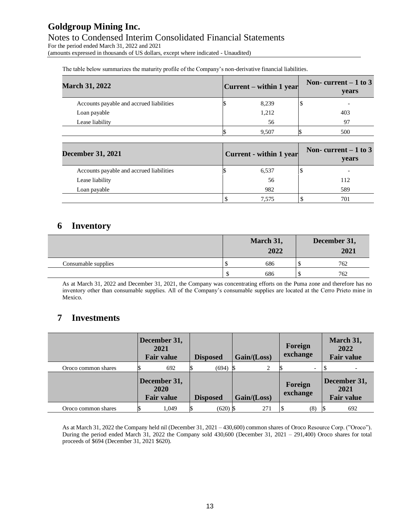For the period ended March 31, 2022 and 2021

(amounts expressed in thousands of US dollars, except where indicated - Unaudited)

The table below summarizes the maturity profile of the Company's non-derivative financial liabilities.

| <b>March 31, 2022</b>                    |  | $ Current - within 1 year$ | Non-current $-1$ to 3<br>years |     |  |
|------------------------------------------|--|----------------------------|--------------------------------|-----|--|
| Accounts payable and accrued liabilities |  | 8,239                      |                                |     |  |
| Loan payable                             |  | 1,212                      |                                | 403 |  |
| Lease liability                          |  | 56                         |                                | 97  |  |
|                                          |  | 9.507                      |                                | 500 |  |

| <b>December 31, 2021</b>                 |  | Current - within 1 year | Non-current $-1$ to 3<br>years |     |  |  |
|------------------------------------------|--|-------------------------|--------------------------------|-----|--|--|
| Accounts payable and accrued liabilities |  | 6,537                   |                                |     |  |  |
| Lease liability                          |  | 56                      |                                | 112 |  |  |
| Loan payable                             |  | 982                     |                                | 589 |  |  |
|                                          |  | 7.575                   |                                | 701 |  |  |

### **6 Inventory**

|                     | March 31,<br>2022 | December 31,<br>2021 |
|---------------------|-------------------|----------------------|
| Consumable supplies | 686               | 762                  |
|                     | 686               | 762                  |

As at March 31, 2022 and December 31, 2021, the Company was concentrating efforts on the Puma zone and therefore has no inventory other than consumable supplies. All of the Company's consumable supplies are located at the Cerro Prieto mine in Mexico.

# **7 Investments**

|                     | December 31,<br>2021<br><b>Fair value</b> | <b>Disposed</b> | Gain / (Loss) | Foreign<br>exchange      | March 31,<br>2022<br><b>Fair value</b>    |
|---------------------|-------------------------------------------|-----------------|---------------|--------------------------|-------------------------------------------|
| Oroco common shares | 692                                       | $(694)$ \$      | 2             | $\overline{\phantom{0}}$ |                                           |
|                     | December 31,<br>2020<br><b>Fair value</b> | <b>Disposed</b> | Gain/(Loss)   | Foreign<br>exchange      | December 31,<br>2021<br><b>Fair value</b> |
| Oroco common shares | 1.049                                     | $(620)$ \$      | 271           | (8)                      | 692                                       |

As at March 31, 2022 the Company held nil (December 31, 2021 – 430,600) common shares of Oroco Resource Corp. ("Oroco"). During the period ended March 31, 2022 the Company sold 430,600 (December 31, 2021 – 291,400) Oroco shares for total proceeds of \$694 (December 31, 2021 \$620).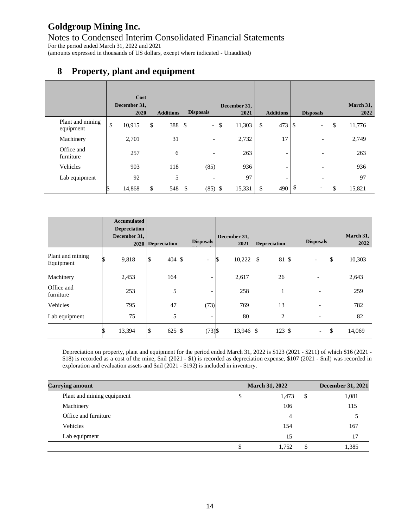# **8 Property, plant and equipment**

|                               |                           | Cost                 |                  |                                |          |                      |                          |                           |                          |                   |
|-------------------------------|---------------------------|----------------------|------------------|--------------------------------|----------|----------------------|--------------------------|---------------------------|--------------------------|-------------------|
|                               |                           | December 31,<br>2020 | <b>Additions</b> | <b>Disposals</b>               |          | December 31,<br>2021 | <b>Additions</b>         |                           | <b>Disposals</b>         | March 31,<br>2022 |
| Plant and mining<br>equipment | $\boldsymbol{\mathsf{S}}$ | 10,915               | \$<br>388        | \$<br>$\overline{\phantom{0}}$ | S        | 11,303               | \$<br>473                | \$                        | $\overline{\phantom{0}}$ | 11,776            |
| Machinery                     |                           | 2,701                | 31               | $\overline{\phantom{a}}$       |          | 2,732                | 17                       |                           | $\overline{\phantom{0}}$ | 2,749             |
| Office and<br>furniture       |                           | 257                  | 6                | $\overline{\phantom{a}}$       |          | 263                  | $\overline{\phantom{a}}$ |                           | $\overline{\phantom{0}}$ | 263               |
| Vehicles                      |                           | 903                  | 118              | (85)                           |          | 936                  | $\overline{\phantom{a}}$ |                           | $\overline{\phantom{0}}$ | 936               |
| Lab equipment                 |                           | 92                   | 5                | $\overline{\phantom{a}}$       |          | 97                   | $\overline{\phantom{0}}$ |                           | $\overline{\phantom{0}}$ | 97                |
|                               |                           | 14,868               | \$<br>548        | \$<br>(85)                     | <b>S</b> | 15,331               | \$<br>490                | $\boldsymbol{\mathsf{S}}$ | $\overline{\phantom{0}}$ | 15,821            |

|                               | <b>Accumulated</b>  |                      |                                 |              |                     |                                 |           |
|-------------------------------|---------------------|----------------------|---------------------------------|--------------|---------------------|---------------------------------|-----------|
|                               | <b>Depreciation</b> |                      |                                 |              |                     |                                 |           |
|                               | December 31,        |                      |                                 | December 31, |                     |                                 | March 31, |
|                               | 2020                | Depreciation         | <b>Disposals</b>                | 2021         | <b>Depreciation</b> | <b>Disposals</b>                | 2022      |
| Plant and mining<br>Equipment | 9,818               | $\mathcal{S}$<br>404 | I\$<br>$\overline{\phantom{a}}$ | 10,222<br>S  | \$<br>81            | IS.                             | 10,303    |
| Machinery                     | 2,453               | 164                  | $\overline{\phantom{a}}$        | 2,617        | 26                  | $\qquad \qquad \blacksquare$    | 2,643     |
| Office and<br>furniture       | 253                 | 5                    | $\overline{\phantom{0}}$        | 258          | Τ.                  | $\overline{\phantom{a}}$        | 259       |
| Vehicles                      | 795                 | 47                   | (73)                            | 769          | 13                  | $\overline{\phantom{0}}$        | 782       |
| Lab equipment                 | 75                  | 5                    | $\overline{\phantom{a}}$        | 80           | 2                   |                                 | 82        |
|                               | 13,394              | $\mathcal{S}$<br>625 | $(73)$ \$<br>S                  | $13,946$ \$  | 123                 | l\$<br>$\overline{\phantom{0}}$ | 14,069    |

Depreciation on property, plant and equipment for the period ended March 31, 2022 is \$123 (2021 - \$211) of which \$16 (2021 - \$18) is recorded as a cost of the mine, \$nil (2021 - \$1) is recorded as depreciation expense, \$107 (2021 - \$nil) was recorded in exploration and evaluation assets and \$nil (2021 - \$192) is included in inventory.

| <b>Carrying amount</b>     |  | <b>March 31, 2022</b> |       |    | <b>December 31, 2021</b> |  |  |
|----------------------------|--|-----------------------|-------|----|--------------------------|--|--|
| Plant and mining equipment |  | Φ                     | 1,473 | \$ | 1,081                    |  |  |
| Machinery                  |  |                       | 106   |    | 115                      |  |  |
| Office and furniture       |  |                       | 4     |    |                          |  |  |
| Vehicles                   |  |                       | 154   |    | 167                      |  |  |
| Lab equipment              |  |                       | 15    |    | 17                       |  |  |
|                            |  | Ψ                     | 1,752 | Φ  | 1,385                    |  |  |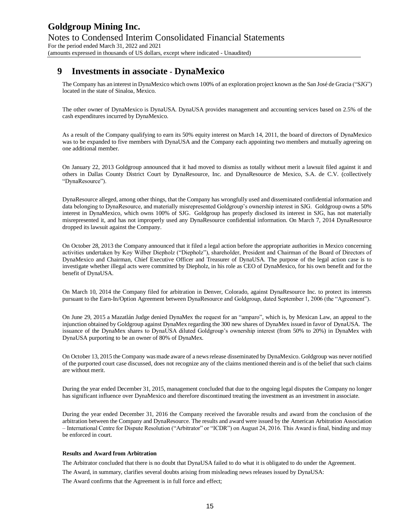### **9 Investments in associate - DynaMexico**

The Company has an interest in DynaMexico which owns 100% of an exploration project known as the San José de Gracia ("SJG") located in the state of Sinaloa, Mexico.

The other owner of DynaMexico is DynaUSA. DynaUSA provides management and accounting services based on 2.5% of the cash expenditures incurred by DynaMexico.

As a result of the Company qualifying to earn its 50% equity interest on March 14, 2011, the board of directors of DynaMexico was to be expanded to five members with DynaUSA and the Company each appointing two members and mutually agreeing on one additional member.

On January 22, 2013 Goldgroup announced that it had moved to dismiss as totally without merit a lawsuit filed against it and others in Dallas County District Court by DynaResource, Inc. and DynaResource de Mexico, S.A. de C.V. (collectively "DynaResource").

DynaResource alleged, among other things, that the Company has wrongfully used and disseminated confidential information and data belonging to DynaResource, and materially misrepresented Goldgroup's ownership interest in SJG. Goldgroup owns a 50% interest in DynaMexico, which owns 100% of SJG. Goldgroup has properly disclosed its interest in SJG, has not materially misrepresented it, and has not improperly used any DynaResource confidential information. On March 7, 2014 DynaResource dropped its lawsuit against the Company.

On October 28, 2013 the Company announced that it filed a legal action before the appropriate authorities in Mexico concerning activities undertaken by Koy Wilber Diepholz ("Diepholz"), shareholder, President and Chairman of the Board of Directors of DynaMexico and Chairman, Chief Executive Officer and Treasurer of DynaUSA. The purpose of the legal action case is to investigate whether illegal acts were committed by Diepholz, in his role as CEO of DynaMexico, for his own benefit and for the benefit of DynaUSA.

On March 10, 2014 the Company filed for arbitration in Denver, Colorado, against DynaResource Inc. to protect its interests pursuant to the Earn-In/Option Agreement between DynaResource and Goldgroup, dated September 1, 2006 (the "Agreement").

On June 29, 2015 a Mazatlán Judge denied DynaMex the request for an "amparo", which is, by Mexican Law, an appeal to the injunction obtained by Goldgroup against DynaMex regarding the 300 new shares of DynaMex issued in favor of DynaUSA. The issuance of the DynaMex shares to DynaUSA diluted Goldgroup's ownership interest (from 50% to 20%) in DynaMex with DynaUSA purporting to be an owner of 80% of DynaMex.

On October 13, 2015 the Company was made aware of a news release disseminated by DynaMexico. Goldgroup was never notified of the purported court case discussed, does not recognize any of the claims mentioned therein and is of the belief that such claims are without merit.

During the year ended December 31, 2015, management concluded that due to the ongoing legal disputes the Company no longer has significant influence over DynaMexico and therefore discontinued treating the investment as an investment in associate.

During the year ended December 31, 2016 the Company received the favorable results and award from the conclusion of the arbitration between the Company and DynaResource. The results and award were issued by the American Arbitration Association – International Centre for Dispute Resolution ("Arbitrator" or "ICDR") on August 24, 2016. This Award is final, binding and may be enforced in court.

#### **Results and Award from Arbitration**

The Arbitrator concluded that there is no doubt that DynaUSA failed to do what it is obligated to do under the Agreement.

The Award, in summary, clarifies several doubts arising from misleading news releases issued by DynaUSA:

The Award confirms that the Agreement is in full force and effect;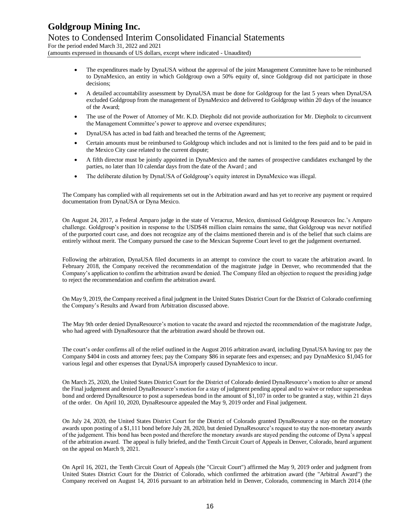For the period ended March 31, 2022 and 2021

(amounts expressed in thousands of US dollars, except where indicated - Unaudited)

- The expenditures made by DynaUSA without the approval of the joint Management Committee have to be reimbursed to DynaMexico, an entity in which Goldgroup own a 50% equity of, since Goldgroup did not participate in those decisions;
- A detailed accountability assessment by DynaUSA must be done for Goldgroup for the last 5 years when DynaUSA excluded Goldgroup from the management of DynaMexico and delivered to Goldgroup within 20 days of the issuance of the Award;
- The use of the Power of Attorney of Mr. K.D. Diepholz did not provide authorization for Mr. Diepholz to circumvent the Management Committee's power to approve and oversee expenditures;
- DynaUSA has acted in bad faith and breached the terms of the Agreement;
- Certain amounts must be reimbursed to Goldgroup which includes and not is limited to the fees paid and to be paid in the Mexico City case related to the current dispute;
- A fifth director must be jointly appointed in DynaMexico and the names of prospective candidates exchanged by the parties, no later than 10 calendar days from the date of the Award ; and
- The deliberate dilution by DynaUSA of Goldgroup's equity interest in DynaMexico was illegal.

The Company has complied with all requirements set out in the Arbitration award and has yet to receive any payment or required documentation from DynaUSA or Dyna Mexico.

On August 24, 2017, a Federal Amparo judge in the state of Veracruz, Mexico, dismissed Goldgroup Resources Inc.'s Amparo challenge. Goldgroup's position in response to the USD\$48 million claim remains the same, that Goldgroup was never notified of the purported court case, and does not recognize any of the claims mentioned therein and is of the belief that such claims are entirely without merit. The Company pursued the case to the Mexican Supreme Court level to get the judgement overturned.

Following the arbitration, DynaUSA filed documents in an attempt to convince the court to vacate the arbitration award. In February 2018, the Company received the recommendation of the magistrate judge in Denver, who recommended that the Company's application to confirm the arbitration award be denied. The Company filed an objection to request the presiding judge to reject the recommendation and confirm the arbitration award.

On May 9, 2019, the Company received a final judgment in the United States District Court for the District of Colorado confirming the Company's Results and Award from Arbitration discussed above.

The May 9th order denied DynaResource's motion to vacate the award and rejected the recommendation of the magistrate Judge, who had agreed with DynaResource that the arbitration award should be thrown out.

The court's order confirms all of the relief outlined in the August 2016 arbitration award, including DynaUSA having to: pay the Company \$404 in costs and attorney fees; pay the Company \$86 in separate fees and expenses; and pay DynaMexico \$1,045 for various legal and other expenses that DynaUSA improperly caused DynaMexico to incur.

On March 25, 2020, the United States District Court for the District of Colorado denied DynaResource's motion to alter or amend the Final judgement and denied DynaResource's motion for a stay of judgment pending appeal and to waive or reduce supersedeas bond and ordered DynaResource to post a supersedeas bond in the amount of \$1,107 in order to be granted a stay, within 21 days of the order. On April 10, 2020, DynaResource appealed the May 9, 2019 order and Final judgement.

On July 24, 2020, the United States District Court for the District of Colorado granted DynaResource a stay on the monetary awards upon posting of a \$1,111 bond before July 28, 2020, but denied DynaResource's request to stay the non-monetary awards of the judgement. This bond has been posted and therefore the monetary awards are stayed pending the outcome of Dyna's appeal of the arbitration award. The appeal is fully briefed, and the Tenth Circuit Court of Appeals in Denver, Colorado, heard argument on the appeal on March 9, 2021.

On April 16, 2021, the Tenth Circuit Court of Appeals (the "Circuit Court") affirmed the May 9, 2019 order and judgment from United States District Court for the District of Colorado, which confirmed the arbitration award (the "Arbitral Award") the Company received on August 14, 2016 pursuant to an arbitration held in Denver, Colorado, commencing in March 2014 (the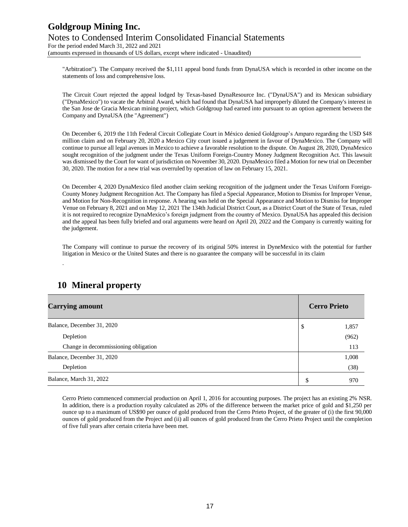For the period ended March 31, 2022 and 2021 (amounts expressed in thousands of US dollars, except where indicated - Unaudited)

"Arbitration"). The Company received the \$1,111 appeal bond funds from DynaUSA which is recorded in other income on the statements of loss and comprehensive loss.

The Circuit Court rejected the appeal lodged by Texas-based DynaResource Inc. ("DynaUSA") and its Mexican subsidiary ("DynaMexico") to vacate the Arbitral Award, which had found that DynaUSA had improperly diluted the Company's interest in the San Jose de Gracia Mexican mining project, which Goldgroup had earned into pursuant to an option agreement between the Company and DynaUSA (the "Agreement")

On December 6, 2019 the 11th Federal Circuit Collegiate Court in México denied Goldgroup's Amparo regarding the USD \$48 million claim and on February 20, 2020 a Mexico City court issued a judgement in favour of DynaMexico. The Company will continue to pursue all legal avenues in Mexico to achieve a favorable resolution to the dispute. On August 28, 2020, DynaMexico sought recognition of the judgment under the Texas Uniform Foreign-Country Money Judgment Recognition Act. This lawsuit was dismissed by the Court for want of jurisdiction on November 30, 2020. DynaMexico filed a Motion for new trial on December 30, 2020. The motion for a new trial was overruled by operation of law on February 15, 2021.

On December 4, 2020 DynaMexico filed another claim seeking recognition of the judgment under the Texas Uniform Foreign-County Money Judgment Recognition Act. The Company has filed a Special Appearance, Motion to Dismiss for Improper Venue, and Motion for Non-Recognition in response. A hearing was held on the Special Appearance and Motion to Dismiss for Improper Venue on February 8, 2021 and on May 12, 2021 The 134th Judicial District Court, as a District Court of the State of Texas, ruled it is not required to recognize DynaMexico's foreign judgment from the country of Mexico. DynaUSA has appealed this decision and the appeal has been fully briefed and oral arguments were heard on April 20, 2022 and the Company is currently waiting for the judgement.

The Company will continue to pursue the recovery of its original 50% interest in DyneMexico with the potential for further litigation in Mexico or the United States and there is no guarantee the company will be successful in its claim

|  | 10 Mineral property |
|--|---------------------|
|  |                     |

.

| <b>Carrying amount</b>               |    | <b>Cerro Prieto</b> |
|--------------------------------------|----|---------------------|
| Balance, December 31, 2020           | \$ | 1,857               |
| Depletion                            |    | (962)               |
| Change in decommissioning obligation |    | 113                 |
| Balance, December 31, 2020           |    | 1,008               |
| Depletion                            |    | (38)                |
| Balance, March 31, 2022              | D  | 970                 |

Cerro Prieto commenced commercial production on April 1, 2016 for accounting purposes. The project has an existing 2% NSR. In addition, there is a production royalty calculated as 20% of the difference between the market price of gold and \$1,250 per ounce up to a maximum of US\$90 per ounce of gold produced from the Cerro Prieto Project, of the greater of (i) the first 90,000 ounces of gold produced from the Project and (ii) all ounces of gold produced from the Cerro Prieto Project until the completion of five full years after certain criteria have been met.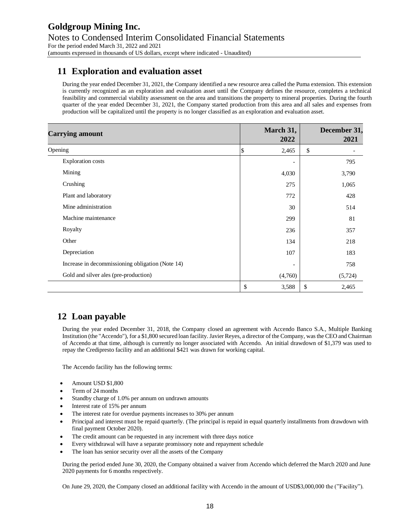# **11 Exploration and evaluation asset**

During the year ended December 31, 2021, the Company identified a new resource area called the Puma extension. This extension is currently recognized as an exploration and evaluation asset until the Company defines the resource, completes a technical feasibility and commercial viability assessment on the area and transitions the property to mineral properties. During the fourth quarter of the year ended December 31, 2021, the Company started production from this area and all sales and expenses from production will be capitalized until the property is no longer classified as an exploration and evaluation asset.

| <b>Carrying amount</b>                           | March 31,<br>2022 | December 31,<br>2021 |
|--------------------------------------------------|-------------------|----------------------|
| Opening                                          | \$<br>2,465       | \$                   |
| <b>Exploration costs</b>                         |                   | 795                  |
| Mining                                           | 4,030             | 3,790                |
| Crushing                                         | 275               | 1,065                |
| Plant and laboratory                             | 772               | 428                  |
| Mine administration                              | 30                | 514                  |
| Machine maintenance                              | 299               | 81                   |
| Royalty                                          | 236               | 357                  |
| Other                                            | 134               | 218                  |
| Depreciation                                     | 107               | 183                  |
| Increase in decommissioning obligation (Note 14) | $\qquad \qquad -$ | 758                  |
| Gold and silver ales (pre-production)            | (4,760)           | (5, 724)             |
|                                                  | \$<br>3,588       | \$<br>2,465          |

# **12 Loan payable**

During the year ended December 31, 2018, the Company closed an agreement with Accendo Banco S.A., Multiple Banking Institution (the "Accendo"), for a \$1,800 secured loan facility.Javier Reyes, a director of the Company, was the CEO and Chairman of Accendo at that time, although is currently no longer associated with Accendo. An initial drawdown of \$1,379 was used to repay the Credipresto facility and an additional \$421 was drawn for working capital.

The Accendo facility has the following terms:

- Amount USD \$1,800
- Term of 24 months
- Standby charge of 1.0% per annum on undrawn amounts
- Interest rate of 15% per annum
- The interest rate for overdue payments increases to 30% per annum
- Principal and interest must be repaid quarterly. (The principal is repaid in equal quarterly installments from drawdown with final payment October 2020).
- The credit amount can be requested in any increment with three days notice
- Every withdrawal will have a separate promissory note and repayment schedule
- The loan has senior security over all the assets of the Company

During the period ended June 30, 2020, the Company obtained a waiver from Accendo which deferred the March 2020 and June 2020 payments for 6 months respectively.

On June 29, 2020, the Company closed an additional facility with Accendo in the amount of USD\$3,000,000 the ("Facility").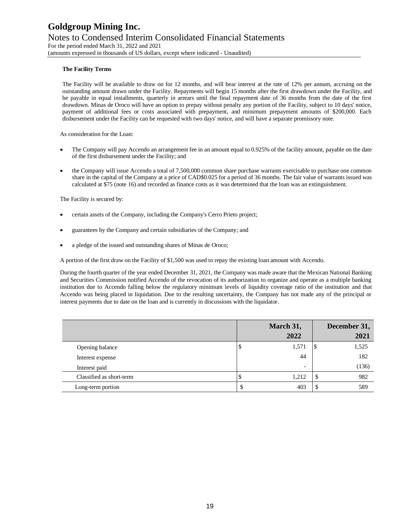#### **The Facility Terms**

The Facility will be available to draw on for 12 months, and will bear interest at the rate of 12% per annum, accruing on the outstanding amount drawn under the Facility. Repayments will begin 15 months after the first drawdown under the Facility, and be payable in equal installments, quarterly in arrears until the final repayment date of 36 months from the date of the first drawdown. Minas de Oroco will have an option to prepay without penalty any portion of the Facility, subject to 10 days' notice, payment of additional fees or costs associated with prepayment, and minimum prepayment amounts of \$200,000. Each disbursement under the Facility can be requested with two days' notice, and will have a separate promissory note.

As consideration for the Loan:

- The Company will pay Accendo an arrangement fee in an amount equal to 0.925% of the facility amount, payable on the date of the first disbursement under the Facility; and
- the Company will issue Accendo a total of 7,500,000 common share purchase warrants exercisable to purchase one common share in the capital of the Company at a price of CAD\$0.025 for a period of 36 months. The fair value of warrants issued was calculated at \$75 (note 16) and recorded as finance costs as it was determined that the loan was an extinguishment.

The Facility is secured by:

- certain assets of the Company, including the Company's Cerro Prieto project;
- guarantees by the Company and certain subsidiaries of the Company; and
- a pledge of the issued and outstanding shares of Minas de Oroco;

A portion of the first draw on the Facility of \$1,500 was used to repay the existing loan amount with Accendo.

During the fourth quarter of the year ended December 31, 2021, the Company was made aware that the Mexican National Banking and Securities Commission notified Accendo of the revocation of its authorization to organize and operate as a multiple banking institution due to Accendo falling below the regulatory minimum levels of liquidity coverage ratio of the institution and that Accendo was being placed in liquidation. Due to the resulting uncertainty, the Company has not made any of the principal or interest payments due to date on the loan and is currently in discussions with the liquidator.

|                          |    | March 31,                |    | December 31, |
|--------------------------|----|--------------------------|----|--------------|
|                          |    | 2022                     |    | 2021         |
| Opening balance          | \$ | 1,571                    | S  | 1,525        |
| Interest expense         |    | 44                       |    | 182          |
| Interest paid            |    | $\overline{\phantom{0}}$ |    | (136)        |
| Classified as short-term | D  | 1.212                    | ۰D | 982          |
| Long-term portion        |    | 403                      |    | 589          |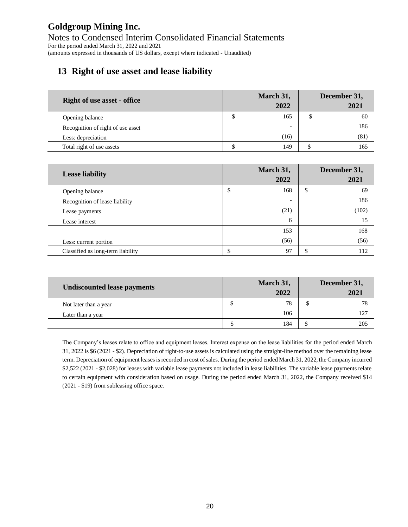# **13 Right of use asset and lease liability**

| <b>Right of use asset - office</b> |   | March 31,<br>2022        | December 31,<br>2021 |
|------------------------------------|---|--------------------------|----------------------|
| Opening balance                    | Φ | 165                      | \$<br>60             |
| Recognition of right of use asset  |   | $\overline{\phantom{0}}$ | 186                  |
| Less: depreciation                 |   | (16)                     | (81)                 |
| Total right of use assets          |   | 149                      | 165                  |

| <b>Lease liability</b>            |    | March 31,<br>2022 |        | December 31,<br>2021 |
|-----------------------------------|----|-------------------|--------|----------------------|
| Opening balance                   | \$ | 168               | \$     | 69                   |
| Recognition of lease liability    |    |                   |        | 186                  |
| Lease payments                    |    | (21)              |        | (102)                |
| Lease interest                    |    | 6                 |        | 15                   |
|                                   |    | 153               |        | 168                  |
| Less: current portion             |    | (56)              |        | (56)                 |
| Classified as long-term liability | ۰D | 97                | ¢<br>D | 112                  |

| <b>Undiscounted lease payments</b> |   | March 31, | December 31, |
|------------------------------------|---|-----------|--------------|
|                                    |   | 2022      | 2021         |
| Not later than a year              | J | 78        | 78           |
| Later than a year                  |   | 106       | 127          |
|                                    |   | 184       | 205          |

The Company's leases relate to office and equipment leases. Interest expense on the lease liabilities for the period ended March 31, 2022 is \$6 (2021 - \$2). Depreciation of right-to-use assets is calculated using the straight-line method over the remaining lease term. Depreciation of equipment leases is recorded in cost of sales. During the period ended March 31, 2022, the Company incurred \$2,522 (2021 - \$2,028) for leases with variable lease payments not included in lease liabilities. The variable lease payments relate to certain equipment with consideration based on usage. During the period ended March 31, 2022, the Company received \$14 (2021 - \$19) from subleasing office space.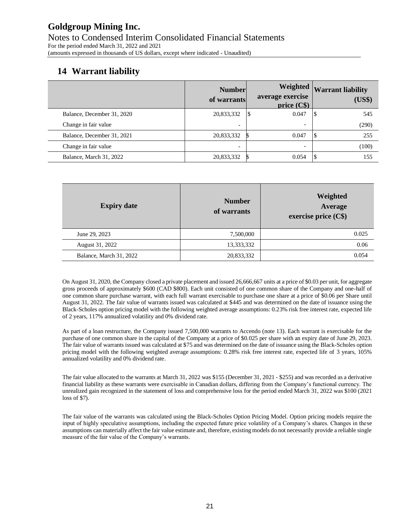# **14 Warrant liability**

|                            | <b>Number</b><br>of warrants |   | Weighted<br>average exercise<br>price $(C$ sup>) | <b>Warrant liability</b><br>(US\$) |
|----------------------------|------------------------------|---|--------------------------------------------------|------------------------------------|
| Balance, December 31, 2020 | 20,833,332                   | S | 0.047                                            | 545<br>S                           |
| Change in fair value       | $\overline{\phantom{a}}$     |   | $\overline{\phantom{0}}$                         | (290)                              |
| Balance, December 31, 2021 | 20,833,332                   |   | 0.047                                            | 255<br>1 S                         |
| Change in fair value       | $\overline{\phantom{0}}$     |   | $\overline{\phantom{0}}$                         | (100)                              |
| Balance, March 31, 2022    | 20,833,332                   |   | 0.054                                            | 155                                |

| <b>Expiry date</b>      | <b>Number</b><br>of warrants | Weighted<br>Average<br>exercise price (C\$) |
|-------------------------|------------------------------|---------------------------------------------|
| June 29, 2023           | 7,500,000                    | 0.025                                       |
| August 31, 2022         | 13,333,332                   | 0.06                                        |
| Balance, March 31, 2022 | 20,833,332                   | 0.054                                       |

On August 31, 2020, the Company closed a private placement and issued 26,666,667 units at a price of \$0.03 per unit, for aggregate gross proceeds of approximately \$600 (CAD \$800). Each unit consisted of one common share of the Company and one-half of one common share purchase warrant, with each full warrant exercisable to purchase one share at a price of \$0.06 per Share until August 31, 2022. The fair value of warrants issued was calculated at \$445 and was determined on the date of issuance using the Black-Scholes option pricing model with the following weighted average assumptions: 0.23% risk free interest rate, expected life of 2 years, 117% annualized volatility and 0% dividend rate.

As part of a loan restructure, the Company issued 7,500,000 warrants to Accendo (note 13). Each warrant is exercisable for the purchase of one common share in the capital of the Company at a price of \$0.025 per share with an expiry date of June 29, 2023. The fair value of warrants issued was calculated at \$75 and was determined on the date of issuance using the Black-Scholes option pricing model with the following weighted average assumptions: 0.28% risk free interest rate, expected life of 3 years, 105% annualized volatility and 0% dividend rate.

The fair value allocated to the warrants at March 31, 2022 was \$155 (December 31, 2021 - \$255) and was recorded as a derivative financial liability as these warrants were exercisable in Canadian dollars, differing from the Company's functional currency. The unrealized gain recognized in the statement of loss and comprehensive loss for the period ended March 31, 2022 was \$100 (2021 loss of \$7).

The fair value of the warrants was calculated using the Black-Scholes Option Pricing Model. Option pricing models require the input of highly speculative assumptions, including the expected future price volatility of a Company's shares. Changes in these assumptions can materially affect the fair value estimate and, therefore, existing models do not necessarily provide a reliable single measure of the fair value of the Company's warrants.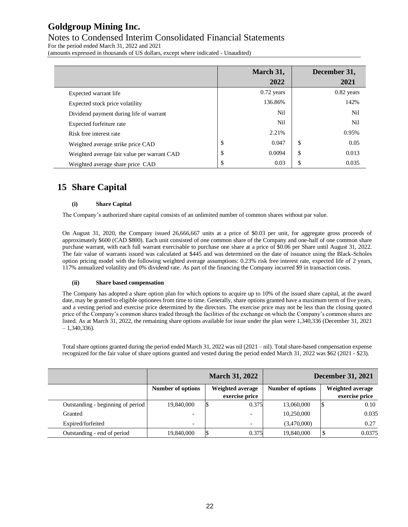# **Goldgroup Mining Inc.**

### Notes to Condensed Interim Consolidated Financial Statements

For the period ended March 31, 2022 and 2021

(amounts expressed in thousands of US dollars, except where indicated - Unaudited)

|                                             | March 31,    | December 31, |
|---------------------------------------------|--------------|--------------|
|                                             | 2022         | 2021         |
| Expected warrant life                       | $0.72$ years | $0.82$ years |
| Expected stock price volatility             | 136.86%      | 142%         |
| Dividend payment during life of warrant     | Nil          | Nil          |
| Expected forfeiture rate                    | Nil          | Nil          |
| Risk free interest rate                     | 2.21%        | 0.95%        |
| Weighted average strike price CAD           | \$<br>0.047  | \$<br>0.05   |
| Weighted average fair value per warrant CAD | \$<br>0.0094 | \$<br>0.013  |
| Weighted average share price CAD            | \$<br>0.03   | \$<br>0.035  |

### **15 Share Capital**

#### **(i) Share Capital**

The Company's authorized share capital consists of an unlimited number of common shares without par value.

On August 31, 2020, the Company issued 26,666,667 units at a price of \$0.03 per unit, for aggregate gross proceeds of approximately \$600 (CAD \$800). Each unit consisted of one common share of the Company and one-half of one common share purchase warrant, with each full warrant exercisable to purchase one share at a price of \$0.06 per Share until August 31, 2022. The fair value of warrants issued was calculated at \$445 and was determined on the date of issuance using the Black-Scholes option pricing model with the following weighted average assumptions: 0.23% risk free interest rate, expected life of 2 years, 117% annualized volatility and 0% dividend rate. As part of the financing the Company incurred \$9 in transaction costs.

#### **(ii) Share based compensation**

The Company has adopted a share option plan for which options to acquire up to 10% of the issued share capital, at the award date, may be granted to eligible optionees from time to time. Generally, share options granted have a maximum term of five years, and a vesting period and exercise price determined by the directors. The exercise price may not be less than the closing quoted price of the Company's common shares traded through the facilities of the exchange on which the Company's common shares are listed. As at March 31, 2022, the remaining share options available for issue under the plan were 1,340,336 (December 31, 2021  $-1,340,336$ .

Total share options granted during the period ended March 31, 2022 was nil (2021 – nil). Total share-based compensation expense recognized for the fair value of share options granted and vested during the period ended March 31, 2022 was \$62 (2021 - \$23).

|                                   |                          | <b>March 31, 2022</b>              |                   | <b>December 31, 2021</b>           |
|-----------------------------------|--------------------------|------------------------------------|-------------------|------------------------------------|
|                                   | Number of options        | Weighted average<br>exercise price | Number of options | Weighted average<br>exercise price |
| Outstanding - beginning of period | 19,840,000               | 0.375                              | 13,060,000        | 0.10                               |
| Granted                           |                          |                                    | 10,250,000        | 0.035                              |
| Expired/forfeited                 | $\overline{\phantom{0}}$ |                                    | (3,470,000)       | 0.27                               |
| Outstanding - end of period       | 19.840.000               | 0.375                              | 19,840,000        | 0.0375                             |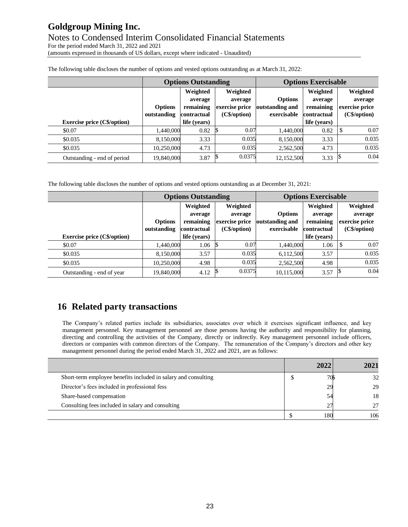For the period ended March 31, 2022 and 2021 (amounts expressed in thousands of US dollars, except where indicated - Unaudited)

The following table discloses the number of options and vested options outstanding as at March 31, 2022:

|                                    | <b>Options Outstanding</b> |              |                | <b>Options Exercisable</b> |              |                |
|------------------------------------|----------------------------|--------------|----------------|----------------------------|--------------|----------------|
|                                    |                            | Weighted     | Weighted       |                            | Weighted     | Weighted       |
|                                    |                            | average      | average        | <b>Options</b>             | average      | average        |
|                                    | <b>Options</b>             | remaining    | exercise price | outstanding and            | remaining    | exercise price |
|                                    | outstanding                | contractual  | (C\$/option)   | exercisable                | contractual  | (C\$/option)   |
| <b>Exercise price (C\$/option)</b> |                            | life (vears) |                |                            | life (years) |                |
| \$0.07                             | 1,440,000                  | 0.82         | 0.07           | 1,440,000                  | 0.82         | 0.07<br>-8     |
| \$0.035                            | 8,150,000                  | 3.33         | 0.035          | 8,150,000                  | 3.33         | 0.035          |
| \$0.035                            | 10.250,000                 | 4.73         | 0.035          | 2,562,500                  | 4.73         | 0.035          |
| Outstanding - end of period        | 19,840,000                 | 3.87         | 0.0375         | 12,152,500                 | 3.33         | 0.04           |

The following table discloses the number of options and vested options outstanding as at December 31, 2021:

|                                    | <b>Options Outstanding</b> |              |                | <b>Options Exercisable</b> |              |                |
|------------------------------------|----------------------------|--------------|----------------|----------------------------|--------------|----------------|
|                                    |                            | Weighted     | Weighted       |                            | Weighted     | Weighted       |
|                                    |                            | average      | average        | <b>Options</b>             | average      | average        |
|                                    | <b>Options</b>             | remaining    | exercise price | outstanding and            | remaining    | exercise price |
|                                    | outstanding                | contractual  | (C\$/option)   | exercisable                | contractual  | (C\$/option)   |
| <b>Exercise price (C\$/option)</b> |                            | life (years) |                |                            | life (years) |                |
| \$0.07                             | 1.440.000                  | 1.06         | 0.07           | 1,440,000                  | 1.06         | 0.07<br>S      |
| \$0.035                            | 8.150,000                  | 3.57         | 0.035          | 6,112,500                  | 3.57         | 0.035          |
| \$0.035                            | 10.250,000                 | 4.98         | 0.035          | 2,562,500                  | 4.98         | 0.035          |
| Outstanding - end of year          | 19,840,000                 | 4.12         | 0.0375<br>ıЭ   | 10,115,000                 | 3.57         | 0.04           |

# **16 Related party transactions**

The Company's related parties include its subsidiaries, associates over which it exercises significant influence, and key management personnel. Key management personnel are those persons having the authority and responsibility for planning, directing and controlling the activities of the Company, directly or indirectly. Key management personnel include officers, directors or companies with common directors of the Company. The remuneration of the Company's directors and other key management personnel during the period ended March 31, 2022 and 2021, are as follows:

|                                                                | 2022 | 2021 |
|----------------------------------------------------------------|------|------|
| Short-term employee benefits included in salary and consulting | 70\$ | 32   |
| Director's fees included in professional fess                  | 29   | 29   |
| Share-based compensation                                       |      | 18   |
| Consulting fees included in salary and consulting              | 27   | 27   |
|                                                                | 180  | 106  |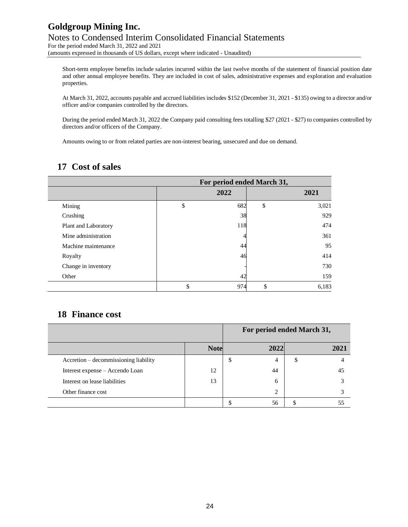For the period ended March 31, 2022 and 2021 (amounts expressed in thousands of US dollars, except where indicated - Unaudited)

Short-term employee benefits include salaries incurred within the last twelve months of the statement of financial position date and other annual employee benefits. They are included in cost of sales, administrative expenses and exploration and evaluation properties.

At March 31, 2022, accounts payable and accrued liabilities includes \$152 (December 31, 2021 - \$135) owing to a director and/or officer and/or companies controlled by the directors.

During the period ended March 31, 2022 the Company paid consulting fees totalling \$27 (2021 - \$27) to companies controlled by directors and/or officers of the Company.

Amounts owing to or from related parties are non-interest bearing, unsecured and due on demand.

# **17 Cost of sales**

| For period ended March 31, |    |      |    |       |  |
|----------------------------|----|------|----|-------|--|
|                            |    | 2022 |    | 2021  |  |
| Mining                     | \$ | 682  | \$ | 3,021 |  |
| Crushing                   |    | 38   |    | 929   |  |
| Plant and Laboratory       |    | 118  |    | 474   |  |
| Mine administration        |    |      |    | 361   |  |
| Machine maintenance        |    | 44   |    | 95    |  |
| Royalty                    |    | 46   |    | 414   |  |
| Change in inventory        |    |      |    | 730   |  |
| Other                      |    | 42   |    | 159   |  |
|                            | \$ | 974  | \$ | 6,183 |  |

### **18 Finance cost**

|                                       |             | For period ended March 31, |                |    |      |
|---------------------------------------|-------------|----------------------------|----------------|----|------|
|                                       | <b>Note</b> |                            | 2022           |    | 2021 |
| Accretion - decommissioning liability |             | ۰D                         | 4              | \$ |      |
| Interest expense – Accendo Loan       | 12          |                            | 44             |    | 45   |
| Interest on lease liabilities         | 13          |                            | 6              |    |      |
| Other finance cost                    |             |                            | $\overline{c}$ |    |      |
|                                       |             |                            | 56             |    |      |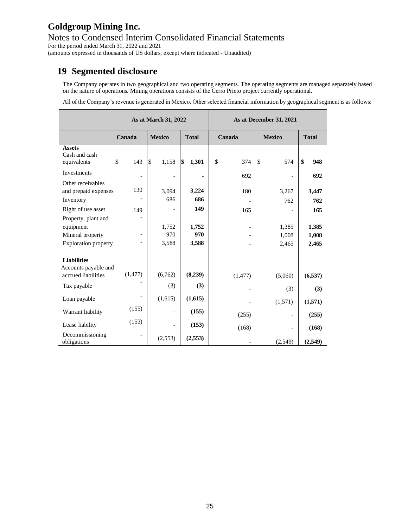# **19 Segmented disclosure**

The Company operates in two geographical and two operating segments. The operating segments are managed separately based on the nature of operations. Mining operations consists of the Cerro Prieto project currently operational.

All of the Company's revenue is generated in Mexico. Other selected financial information by geographical segment is as follows:

|                                                                                     | As at March 31, 2022     |                          |                       | As at December 31, 2021 |                         |                         |  |
|-------------------------------------------------------------------------------------|--------------------------|--------------------------|-----------------------|-------------------------|-------------------------|-------------------------|--|
|                                                                                     | Canada                   | <b>Mexico</b>            | <b>Total</b>          | Canada                  | <b>Mexico</b>           | <b>Total</b>            |  |
| <b>Assets</b><br>Cash and cash<br>equivalents                                       | \$<br>143                | \$<br>1,158              | \$<br>1,301           | \$<br>374               | \$<br>574               | \$<br>948               |  |
| Investments                                                                         |                          |                          | ۰                     | 692                     |                         | 692                     |  |
| Other receivables<br>and prepaid expenses                                           | 130                      | 3,094                    | 3,224                 | 180                     | 3,267                   | 3,447                   |  |
| Inventory                                                                           |                          | 686                      | 686                   |                         | 762                     | 762                     |  |
| Right of use asset                                                                  | 149                      |                          | 149                   | 165                     |                         | 165                     |  |
| Property, plant and<br>equipment<br>Mineral property<br><b>Exploration property</b> | $\overline{\phantom{a}}$ | 1,752<br>970<br>3,588    | 1,752<br>970<br>3,588 |                         | 1,385<br>1,008<br>2,465 | 1,385<br>1,008<br>2,465 |  |
| <b>Liabilities</b><br>Accounts payable and<br>accrued liabilities                   | (1, 477)                 | (6,762)                  | (8,239)               | (1, 477)                | (5,060)                 | (6, 537)                |  |
| Tax payable                                                                         |                          | (3)                      | (3)                   |                         | (3)                     | (3)                     |  |
| Loan payable                                                                        |                          | (1,615)                  | (1,615)               |                         | (1,571)                 | (1,571)                 |  |
| Warrant liability                                                                   | (155)                    | $\overline{\phantom{0}}$ | (155)                 | (255)                   |                         | (255)                   |  |
| Lease liability                                                                     | (153)                    |                          | (153)                 | (168)                   |                         | (168)                   |  |
| Decommissioning<br>obligations                                                      |                          | (2,553)                  | (2,553)               |                         | (2,549)                 | (2,549)                 |  |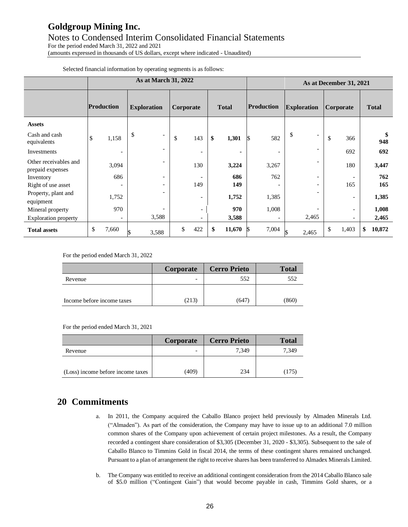For the period ended March 31, 2022 and 2021 (amounts expressed in thousands of US dollars, except where indicated - Unaudited)

|                                           | As at March 31, 2022     |                                |                          |                | As at December 31, 2021  |                                |                          |              |
|-------------------------------------------|--------------------------|--------------------------------|--------------------------|----------------|--------------------------|--------------------------------|--------------------------|--------------|
|                                           | Production               | <b>Exploration</b>             | Corporate                | <b>Total</b>   | <b>Production</b>        | <b>Exploration</b>             | Corporate                | <b>Total</b> |
| <b>Assets</b>                             |                          |                                |                          |                |                          |                                |                          |              |
| Cash and cash<br>equivalents              | \$<br>1,158              | \$<br>$\overline{\phantom{a}}$ | \$<br>143                | \$<br>1,301    | 582                      | \$<br>$\overline{\phantom{a}}$ | \$<br>366                | \$<br>948    |
| Investments                               | $\overline{\phantom{0}}$ | $\qquad \qquad -$              | $\overline{\phantom{a}}$ | $\blacksquare$ | $\overline{\phantom{a}}$ | $\overline{\phantom{a}}$       | 692                      | 692          |
| Other receivables and<br>prepaid expenses | 3,094                    | $\qquad \qquad \blacksquare$   | 130                      | 3,224          | 3,267                    |                                | 180                      | 3,447        |
| Inventory                                 | 686                      | $\overline{\phantom{a}}$       | $\overline{\phantom{0}}$ | 686            | 762                      | $\overline{\phantom{a}}$       |                          | 762          |
| Right of use asset                        |                          | $\overline{\phantom{a}}$       | 149                      | 149            |                          | $\overline{\phantom{a}}$       | 165                      | 165          |
| Property, plant and<br>equipment          | 1,752                    | $\qquad \qquad -$              | $\overline{\phantom{a}}$ | 1,752          | 1,385                    |                                | $\overline{\phantom{a}}$ | 1,385        |
| Mineral property                          | 970                      | $\qquad \qquad -$              | $\overline{\phantom{a}}$ | 970            | 1,008                    |                                | $\overline{\phantom{0}}$ | 1,008        |
| <b>Exploration property</b>               | $\overline{\phantom{0}}$ | 3,588                          | $\overline{\phantom{a}}$ | 3,588          | $\overline{\phantom{a}}$ | 2,465                          | $\overline{\phantom{a}}$ | 2,465        |
| <b>Total assets</b>                       | \$<br>7,660              | 3,588                          | \$<br>422                | \$<br>11,670   | 7,004                    | 2,465                          | \$<br>1,403              | 10,872<br>\$ |

Selected financial information by operating segments is as follows:

For the period ended March 31, 2022

|                            | Corporate                | <b>Cerro Prieto</b> | <b>Total</b> |
|----------------------------|--------------------------|---------------------|--------------|
| Revenue                    | $\overline{\phantom{0}}$ | 552                 | 552          |
|                            |                          |                     |              |
| Income before income taxes | (213)                    | (647)               | (860)        |

For the period ended March 31, 2021

|                                   | Corporate | <b>Cerro Prieto</b> | <b>Total</b> |
|-----------------------------------|-----------|---------------------|--------------|
| Revenue                           |           | 7.349               | 7,349        |
|                                   |           |                     |              |
| (Loss) income before income taxes | (409)     | 234                 | (175)        |

### **20 Commitments**

- a. In 2011, the Company acquired the Caballo Blanco project held previously by Almaden Minerals Ltd. ("Almaden"). As part of the consideration, the Company may have to issue up to an additional 7.0 million common shares of the Company upon achievement of certain project milestones. As a result, the Company recorded a contingent share consideration of \$3,305 (December 31, 2020 - \$3,305). Subsequent to the sale of Caballo Blanco to Timmins Gold in fiscal 2014, the terms of these contingent shares remained unchanged. Pursuant to a plan of arrangement the right to receive shares has been transferred to Almadex Minerals Limited.
- b. The Company was entitled to receive an additional contingent consideration from the 2014 Caballo Blanco sale of \$5.0 million ("Contingent Gain") that would become payable in cash, Timmins Gold shares, or a